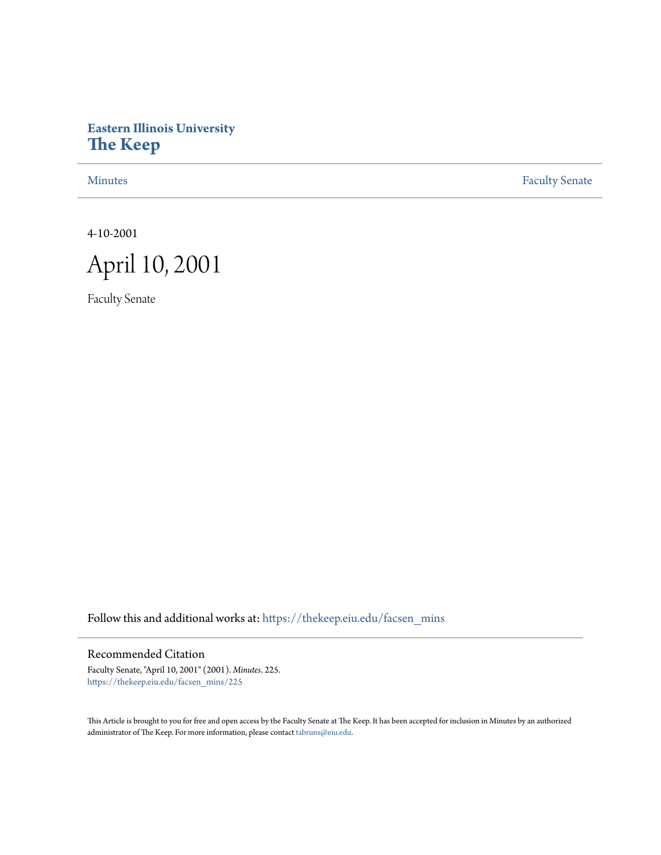# **Eastern Illinois University [The Keep](https://thekeep.eiu.edu?utm_source=thekeep.eiu.edu%2Ffacsen_mins%2F225&utm_medium=PDF&utm_campaign=PDFCoverPages)**

[Minutes](https://thekeep.eiu.edu/facsen_mins?utm_source=thekeep.eiu.edu%2Ffacsen_mins%2F225&utm_medium=PDF&utm_campaign=PDFCoverPages) **[Faculty Senate](https://thekeep.eiu.edu/fac_senate?utm_source=thekeep.eiu.edu%2Ffacsen_mins%2F225&utm_medium=PDF&utm_campaign=PDFCoverPages)** 

4-10-2001



Faculty Senate

Follow this and additional works at: [https://thekeep.eiu.edu/facsen\\_mins](https://thekeep.eiu.edu/facsen_mins?utm_source=thekeep.eiu.edu%2Ffacsen_mins%2F225&utm_medium=PDF&utm_campaign=PDFCoverPages)

Recommended Citation

Faculty Senate, "April 10, 2001" (2001). *Minutes*. 225. [https://thekeep.eiu.edu/facsen\\_mins/225](https://thekeep.eiu.edu/facsen_mins/225?utm_source=thekeep.eiu.edu%2Ffacsen_mins%2F225&utm_medium=PDF&utm_campaign=PDFCoverPages)

This Article is brought to you for free and open access by the Faculty Senate at The Keep. It has been accepted for inclusion in Minutes by an authorized administrator of The Keep. For more information, please contact [tabruns@eiu.edu.](mailto:tabruns@eiu.edu)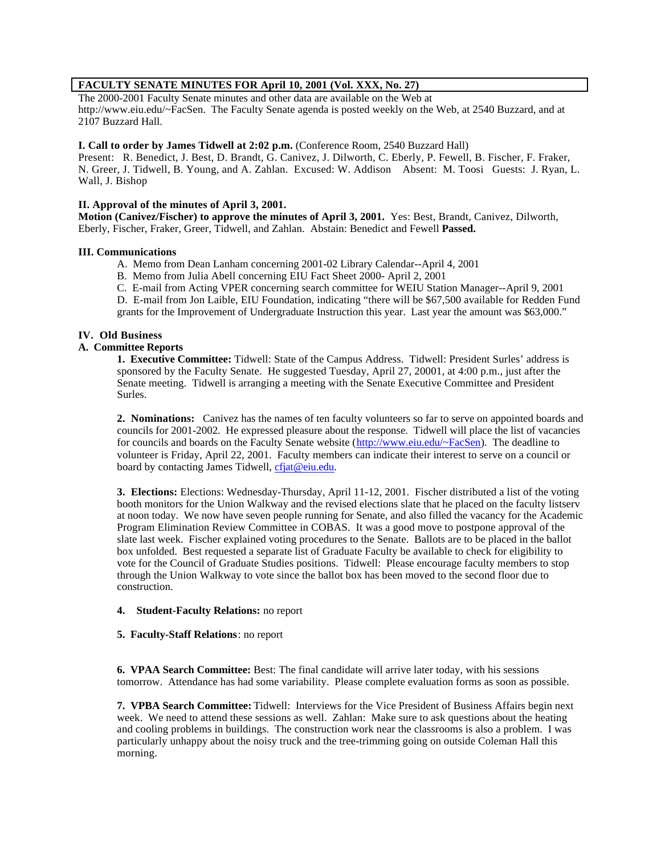# **FACULTY SENATE MINUTES FOR April 10, 2001 (Vol. XXX, No. 27)**

The 2000-2001 Faculty Senate minutes and other data are available on the Web at http://www.eiu.edu/~FacSen. The Faculty Senate agenda is posted weekly on the Web, at 2540 Buzzard, and at 2107 Buzzard Hall.

## **I. Call to order by James Tidwell at 2:02 p.m.** (Conference Room, 2540 Buzzard Hall)

Present: R. Benedict, J. Best, D. Brandt, G. Canivez, J. Dilworth, C. Eberly, P. Fewell, B. Fischer, F. Fraker, N. Greer, J. Tidwell, B. Young, and A. Zahlan. Excused: W. Addison Absent: M. Toosi Guests: J. Ryan, L. Wall, J. Bishop

## **II. Approval of the minutes of April 3, 2001.**

**Motion (Canivez/Fischer) to approve the minutes of April 3, 2001.** Yes: Best, Brandt, Canivez, Dilworth, Eberly, Fischer, Fraker, Greer, Tidwell, and Zahlan. Abstain: Benedict and Fewell **Passed.**

## **III. Communications**

- A. Memo from Dean Lanham concerning 2001-02 Library Calendar--April 4, 2001
- B. Memo from Julia Abell concerning EIU Fact Sheet 2000- April 2, 2001
- C. E-mail from Acting VPER concerning search committee for WEIU Station Manager--April 9, 2001

D. E-mail from Jon Laible, EIU Foundation, indicating "there will be \$67,500 available for Redden Fund grants for the Improvement of Undergraduate Instruction this year. Last year the amount was \$63,000."

## **IV. Old Business**

## **A. Committee Reports**

**1. Executive Committee:** Tidwell: State of the Campus Address. Tidwell: President Surles' address is sponsored by the Faculty Senate. He suggested Tuesday, April 27, 20001, at 4:00 p.m., just after the Senate meeting. Tidwell is arranging a meeting with the Senate Executive Committee and President Surles.

**2. Nominations:** Canivez has the names of ten faculty volunteers so far to serve on appointed boards and councils for 2001-2002. He expressed pleasure about the response. Tidwell will place the list of vacancies for councils and boards on the Faculty Senate website (http://www.eiu.edu/~FacSen). The deadline to volunteer is Friday, April 22, 2001. Faculty members can indicate their interest to serve on a council or board by contacting James Tidwell, cfjat@eiu.edu.

**3. Elections:** Elections: Wednesday-Thursday, April 11-12, 2001. Fischer distributed a list of the voting booth monitors for the Union Walkway and the revised elections slate that he placed on the faculty listserv at noon today. We now have seven people running for Senate, and also filled the vacancy for the Academic Program Elimination Review Committee in COBAS. It was a good move to postpone approval of the slate last week. Fischer explained voting procedures to the Senate. Ballots are to be placed in the ballot box unfolded. Best requested a separate list of Graduate Faculty be available to check for eligibility to vote for the Council of Graduate Studies positions. Tidwell: Please encourage faculty members to stop through the Union Walkway to vote since the ballot box has been moved to the second floor due to construction.

## **4. Student-Faculty Relations:** no report

#### **5. Faculty-Staff Relations**: no report

**6. VPAA Search Committee:** Best: The final candidate will arrive later today, with his sessions tomorrow. Attendance has had some variability. Please complete evaluation forms as soon as possible.

**7. VPBA Search Committee:** Tidwell: Interviews for the Vice President of Business Affairs begin next week. We need to attend these sessions as well. Zahlan: Make sure to ask questions about the heating and cooling problems in buildings. The construction work near the classrooms is also a problem. I was particularly unhappy about the noisy truck and the tree-trimming going on outside Coleman Hall this morning.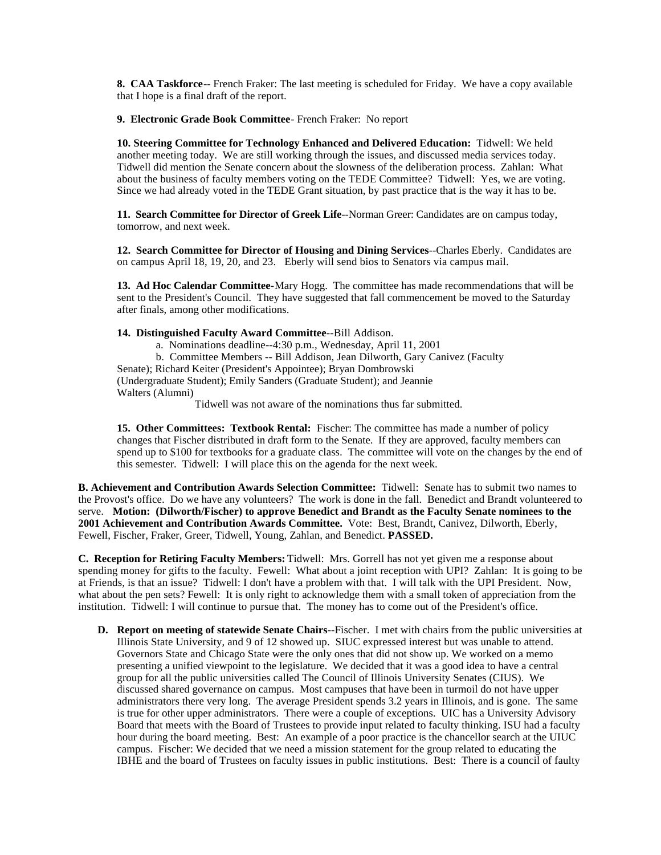**8. CAA Taskforce**-- French Fraker: The last meeting is scheduled for Friday. We have a copy available that I hope is a final draft of the report.

**9. Electronic Grade Book Committee**- French Fraker: No report

**10. Steering Committee for Technology Enhanced and Delivered Education:** Tidwell: We held another meeting today. We are still working through the issues, and discussed media services today. Tidwell did mention the Senate concern about the slowness of the deliberation process. Zahlan: What about the business of faculty members voting on the TEDE Committee? Tidwell: Yes, we are voting. Since we had already voted in the TEDE Grant situation, by past practice that is the way it has to be.

**11. Search Committee for Director of Greek Life**--Norman Greer: Candidates are on campus today, tomorrow, and next week.

**12. Search Committee for Director of Housing and Dining Services**--Charles Eberly. Candidates are on campus April 18, 19, 20, and 23. Eberly will send bios to Senators via campus mail.

**13. Ad Hoc Calendar Committee-**Mary Hogg. The committee has made recommendations that will be sent to the President's Council. They have suggested that fall commencement be moved to the Saturday after finals, among other modifications.

#### **14. Distinguished Faculty Award Committee**--Bill Addison.

a. Nominations deadline--4:30 p.m., Wednesday, April 11, 2001

b. Committee Members -- Bill Addison, Jean Dilworth, Gary Canivez (Faculty

Senate); Richard Keiter (President's Appointee); Bryan Dombrowski

(Undergraduate Student); Emily Sanders (Graduate Student); and Jeannie Walters (Alumni)

Tidwell was not aware of the nominations thus far submitted.

**15. Other Committees: Textbook Rental:** Fischer: The committee has made a number of policy changes that Fischer distributed in draft form to the Senate. If they are approved, faculty members can spend up to \$100 for textbooks for a graduate class. The committee will vote on the changes by the end of this semester. Tidwell: I will place this on the agenda for the next week.

**B. Achievement and Contribution Awards Selection Committee:** Tidwell: Senate has to submit two names to the Provost's office. Do we have any volunteers? The work is done in the fall. Benedict and Brandt volunteered to serve. **Motion: (Dilworth/Fischer) to approve Benedict and Brandt as the Faculty Senate nominees to the 2001 Achievement and Contribution Awards Committee.** Vote: Best, Brandt, Canivez, Dilworth, Eberly, Fewell, Fischer, Fraker, Greer, Tidwell, Young, Zahlan, and Benedict. **PASSED.**

**C. Reception for Retiring Faculty Members:** Tidwell: Mrs. Gorrell has not yet given me a response about spending money for gifts to the faculty. Fewell: What about a joint reception with UPI? Zahlan: It is going to be at Friends, is that an issue? Tidwell: I don't have a problem with that. I will talk with the UPI President. Now, what about the pen sets? Fewell: It is only right to acknowledge them with a small token of appreciation from the institution. Tidwell: I will continue to pursue that. The money has to come out of the President's office.

**D. Report on meeting of statewide Senate Chairs**--Fischer. I met with chairs from the public universities at Illinois State University, and 9 of 12 showed up. SIUC expressed interest but was unable to attend. Governors State and Chicago State were the only ones that did not show up. We worked on a memo presenting a unified viewpoint to the legislature. We decided that it was a good idea to have a central group for all the public universities called The Council of Illinois University Senates (CIUS). We discussed shared governance on campus. Most campuses that have been in turmoil do not have upper administrators there very long. The average President spends 3.2 years in Illinois, and is gone. The same is true for other upper administrators. There were a couple of exceptions. UIC has a University Advisory Board that meets with the Board of Trustees to provide input related to faculty thinking. ISU had a faculty hour during the board meeting. Best: An example of a poor practice is the chancellor search at the UIUC campus. Fischer: We decided that we need a mission statement for the group related to educating the IBHE and the board of Trustees on faculty issues in public institutions. Best: There is a council of faulty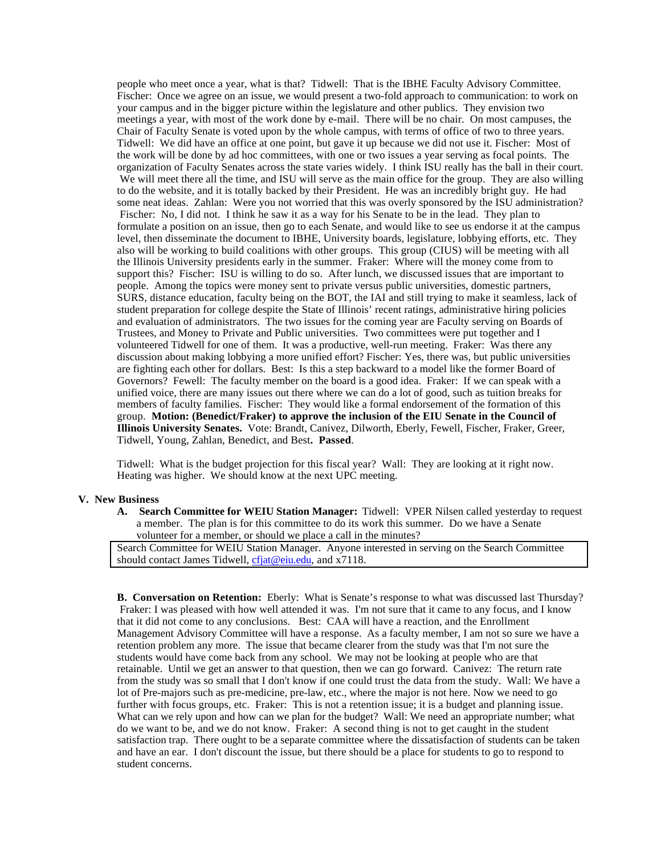people who meet once a year, what is that? Tidwell: That is the IBHE Faculty Advisory Committee. Fischer: Once we agree on an issue, we would present a two-fold approach to communication: to work on your campus and in the bigger picture within the legislature and other publics. They envision two meetings a year, with most of the work done by e-mail. There will be no chair. On most campuses, the Chair of Faculty Senate is voted upon by the whole campus, with terms of office of two to three years. Tidwell: We did have an office at one point, but gave it up because we did not use it. Fischer: Most of the work will be done by ad hoc committees, with one or two issues a year serving as focal points. The organization of Faculty Senates across the state varies widely. I think ISU really has the ball in their court. We will meet there all the time, and ISU will serve as the main office for the group. They are also willing to do the website, and it is totally backed by their President. He was an incredibly bright guy. He had some neat ideas. Zahlan: Were you not worried that this was overly sponsored by the ISU administration? Fischer: No, I did not. I think he saw it as a way for his Senate to be in the lead. They plan to formulate a position on an issue, then go to each Senate, and would like to see us endorse it at the campus level, then disseminate the document to IBHE, University boards, legislature, lobbying efforts, etc. They also will be working to build coalitions with other groups. This group (CIUS) will be meeting with all the Illinois University presidents early in the summer. Fraker: Where will the money come from to support this? Fischer: ISU is willing to do so. After lunch, we discussed issues that are important to people. Among the topics were money sent to private versus public universities, domestic partners, SURS, distance education, faculty being on the BOT, the IAI and still trying to make it seamless, lack of student preparation for college despite the State of Illinois' recent ratings, administrative hiring policies and evaluation of administrators. The two issues for the coming year are Faculty serving on Boards of Trustees, and Money to Private and Public universities. Two committees were put together and I volunteered Tidwell for one of them. It was a productive, well-run meeting. Fraker: Was there any discussion about making lobbying a more unified effort? Fischer: Yes, there was, but public universities are fighting each other for dollars. Best: Is this a step backward to a model like the former Board of Governors? Fewell: The faculty member on the board is a good idea. Fraker: If we can speak with a unified voice, there are many issues out there where we can do a lot of good, such as tuition breaks for members of faculty families. Fischer: They would like a formal endorsement of the formation of this group. **Motion: (Benedict/Fraker) to approve the inclusion of the EIU Senate in the Council of Illinois University Senates.** Vote: Brandt, Canivez, Dilworth, Eberly, Fewell, Fischer, Fraker, Greer, Tidwell, Young, Zahlan, Benedict, and Best**. Passed**.

Tidwell: What is the budget projection for this fiscal year? Wall: They are looking at it right now. Heating was higher. We should know at the next UPC meeting.

#### **V. New Business**

**A. Search Committee for WEIU Station Manager:** Tidwell: VPER Nilsen called yesterday to request a member. The plan is for this committee to do its work this summer. Do we have a Senate volunteer for a member, or should we place a call in the minutes?

Search Committee for WEIU Station Manager. Anyone interested in serving on the Search Committee should contact James Tidwell, cfjat@eiu.edu, and x7118.

**B. Conversation on Retention:** Eberly: What is Senate's response to what was discussed last Thursday? Fraker: I was pleased with how well attended it was. I'm not sure that it came to any focus, and I know that it did not come to any conclusions. Best: CAA will have a reaction, and the Enrollment Management Advisory Committee will have a response. As a faculty member, I am not so sure we have a retention problem any more. The issue that became clearer from the study was that I'm not sure the students would have come back from any school. We may not be looking at people who are that retainable. Until we get an answer to that question, then we can go forward. Canivez: The return rate from the study was so small that I don't know if one could trust the data from the study. Wall: We have a lot of Pre-majors such as pre-medicine, pre-law, etc., where the major is not here. Now we need to go further with focus groups, etc. Fraker: This is not a retention issue; it is a budget and planning issue. What can we rely upon and how can we plan for the budget? Wall: We need an appropriate number; what do we want to be, and we do not know. Fraker: A second thing is not to get caught in the student satisfaction trap. There ought to be a separate committee where the dissatisfaction of students can be taken and have an ear. I don't discount the issue, but there should be a place for students to go to respond to student concerns.